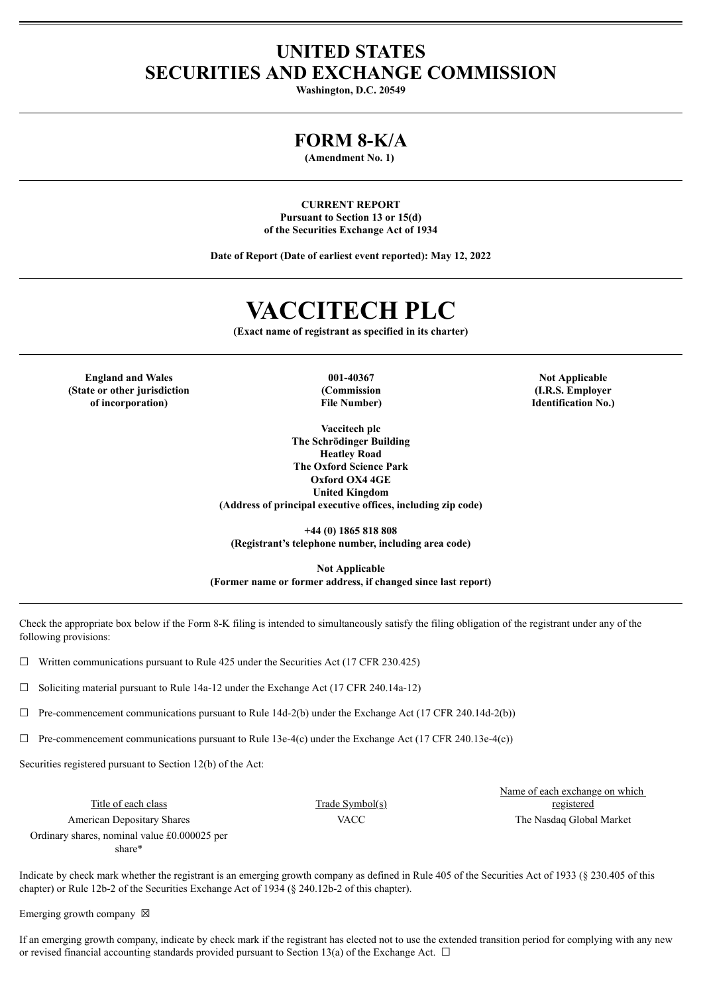## **UNITED STATES SECURITIES AND EXCHANGE COMMISSION**

**Washington, D.C. 20549**

### **FORM 8-K/A**

**(Amendment No. 1)**

**CURRENT REPORT Pursuant to Section 13 or 15(d) of the Securities Exchange Act of 1934**

**Date of Report (Date of earliest event reported): May 12, 2022**

# **VACCITECH PLC**

**(Exact name of registrant as specified in its charter)**

**England and Wales 001-40367 Not Applicable (State or other jurisdiction of incorporation)**

**(Commission File Number)**

**Vaccitech plc The Schrödinger Building Heatley Road The Oxford Science Park Oxford OX4 4GE United Kingdom (Address of principal executive offices, including zip code)**

**(I.R.S. Employer Identification No.)**

**+44 (0) 1865 818 808 (Registrant's telephone number, including area code)**

**Not Applicable (Former name or former address, if changed since last report)**

Check the appropriate box below if the Form 8-K filing is intended to simultaneously satisfy the filing obligation of the registrant under any of the following provisions:

 $\Box$  Written communications pursuant to Rule 425 under the Securities Act (17 CFR 230.425)

 $\Box$  Soliciting material pursuant to Rule 14a-12 under the Exchange Act (17 CFR 240.14a-12)

 $\Box$  Pre-commencement communications pursuant to Rule 14d-2(b) under the Exchange Act (17 CFR 240.14d-2(b))

 $\Box$  Pre-commencement communications pursuant to Rule 13e-4(c) under the Exchange Act (17 CFR 240.13e-4(c))

Securities registered pursuant to Section 12(b) of the Act:

Title of each class Trade Symbol(s) American Depositary Shares VACC VACC The Nasdaq Global Market Ordinary shares, nominal value £0.000025 per share\*

Name of each exchange on which registered

Indicate by check mark whether the registrant is an emerging growth company as defined in Rule 405 of the Securities Act of 1933 (§ 230.405 of this chapter) or Rule 12b-2 of the Securities Exchange Act of 1934 (§ 240.12b-2 of this chapter).

Emerging growth company  $\boxtimes$ 

If an emerging growth company, indicate by check mark if the registrant has elected not to use the extended transition period for complying with any new or revised financial accounting standards provided pursuant to Section 13(a) of the Exchange Act.  $\Box$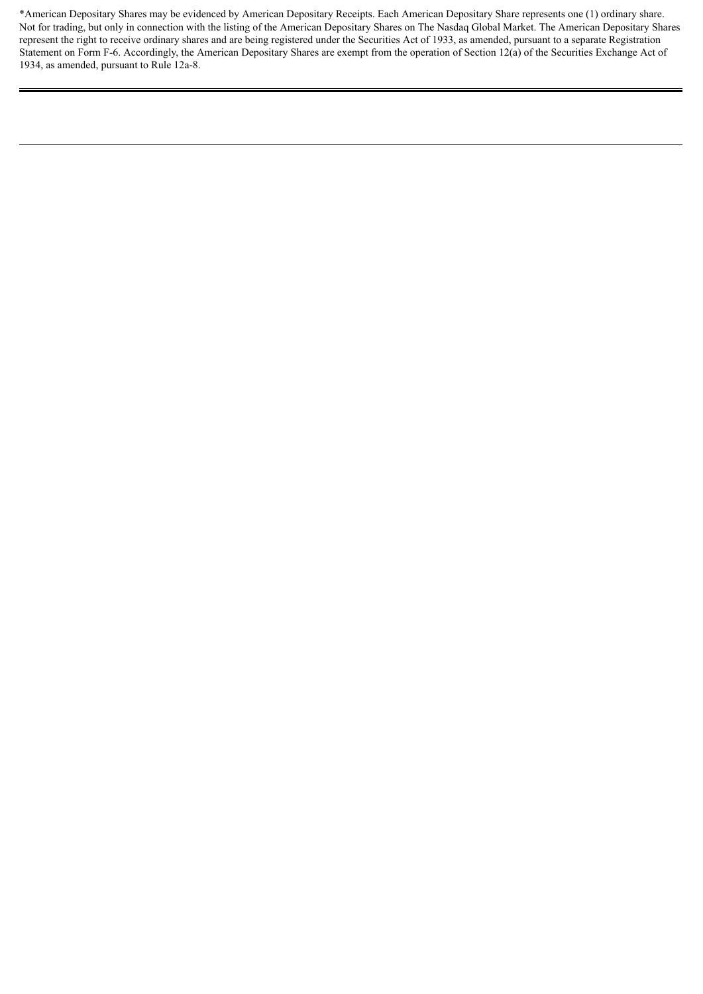\*American Depositary Shares may be evidenced by American Depositary Receipts. Each American Depositary Share represents one (1) ordinary share. Not for trading, but only in connection with the listing of the American Depositary Shares on The Nasdaq Global Market. The American Depositary Shares represent the right to receive ordinary shares and are being registered under the Securities Act of 1933, as amended, pursuant to a separate Registration Statement on Form F-6. Accordingly, the American Depositary Shares are exempt from the operation of Section 12(a) of the Securities Exchange Act of 1934, as amended, pursuant to Rule 12a-8.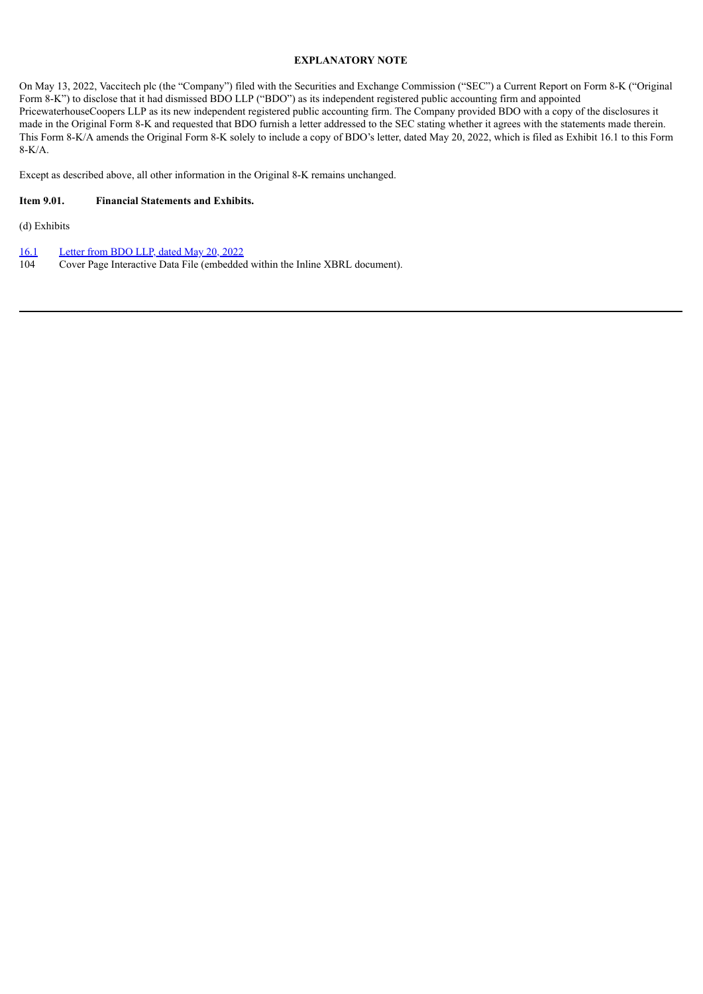#### **EXPLANATORY NOTE**

On May 13, 2022, Vaccitech plc (the "Company") filed with the Securities and Exchange Commission ("SEC") a Current Report on Form 8-K ("Original Form 8-K") to disclose that it had dismissed BDO LLP ("BDO") as its independent registered public accounting firm and appointed PricewaterhouseCoopers LLP as its new independent registered public accounting firm. The Company provided BDO with a copy of the disclosures it made in the Original Form 8-K and requested that BDO furnish a letter addressed to the SEC stating whether it agrees with the statements made therein. This Form 8-K/A amends the Original Form 8-K solely to include a copy of BDO's letter, dated May 20, 2022, which is filed as Exhibit 16.1 to this Form 8-K/A.

Except as described above, all other information in the Original 8-K remains unchanged.

#### **Item 9.01. Financial Statements and Exhibits.**

(d) Exhibits

[16.1](#page-4-0) [Letter](#page-4-0) from BDO LLP, dated May 20, 2022

104 Cover Page Interactive Data File (embedded within the Inline XBRL document).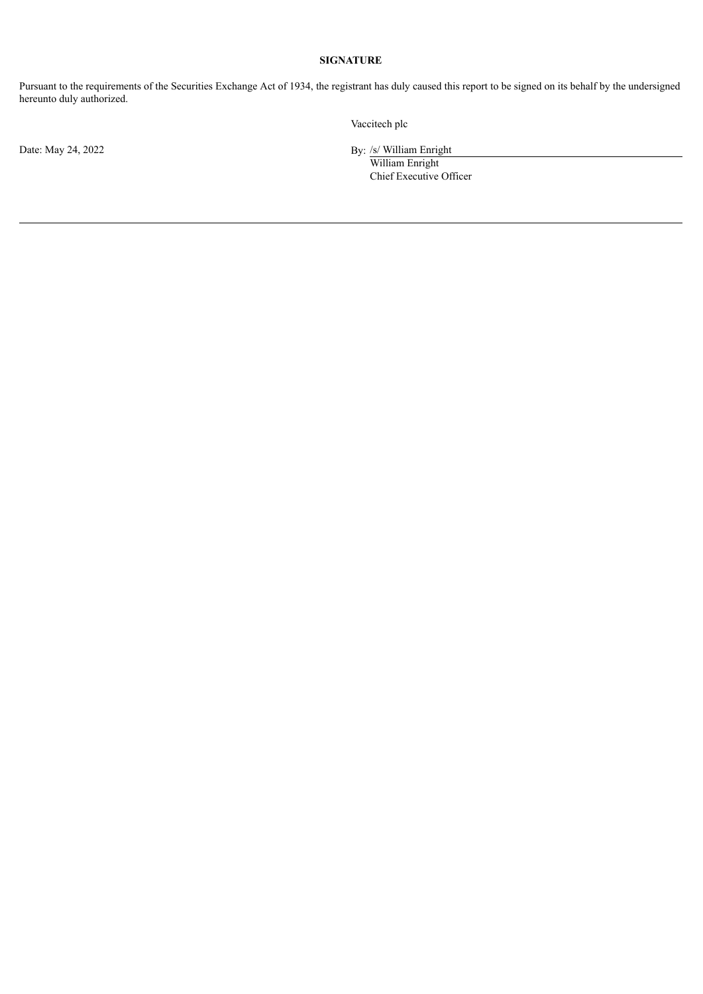#### **SIGNATURE**

Pursuant to the requirements of the Securities Exchange Act of 1934, the registrant has duly caused this report to be signed on its behalf by the undersigned hereunto duly authorized.

Vaccitech plc

Date: May 24, 2022 By: /s/ William Enright

William Enright Chief Executive Officer